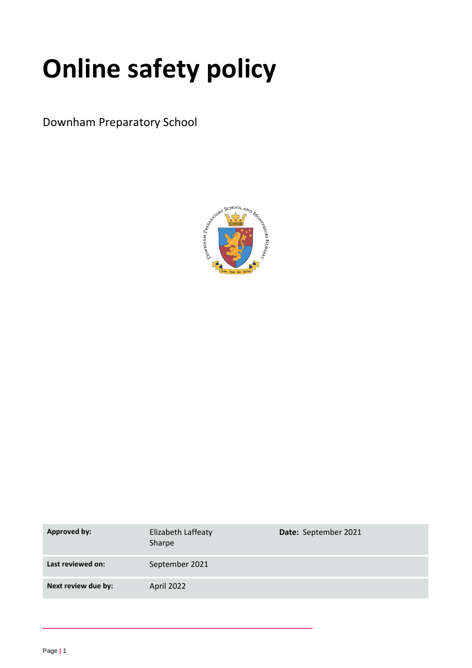# **Online safety policy**

Downham Preparatory School



| Approved by:        | Elizabeth Laffeaty<br>Sharpe | Date: September 2021 |
|---------------------|------------------------------|----------------------|
| Last reviewed on:   | September 2021               |                      |
| Next review due by: | April 2022                   |                      |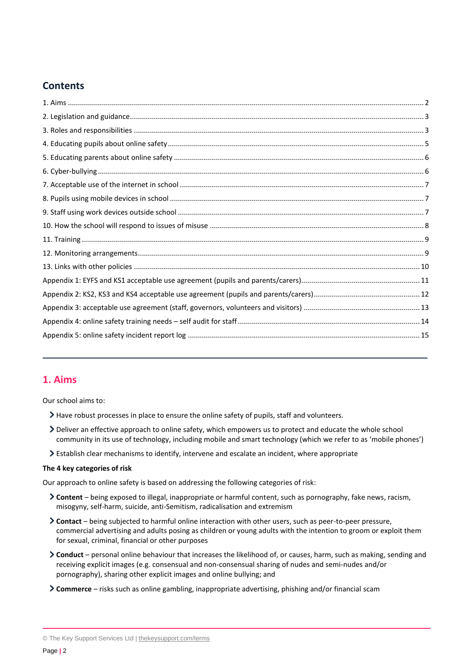# **Contents**

# <span id="page-1-0"></span>**1. Aims**

Our school aims to:

- Have robust processes in place to ensure the online safety of pupils, staff and volunteers.
- Deliver an effective approach to online safety, which empowers us to protect and educate the whole school community in its use of technology, including mobile and smart technology (which we refer to as 'mobile phones')
- Establish clear mechanisms to identify, intervene and escalate an incident, where appropriate

#### **The 4 key categories of risk**

Our approach to online safety is based on addressing the following categories of risk:

- **Content** being exposed to illegal, inappropriate or harmful content, such as pornography, fake news, racism, misogyny, self-harm, suicide, anti-Semitism, radicalisation and extremism
- **Contact** being subjected to harmful online interaction with other users, such as peer-to-peer pressure, commercial advertising and adults posing as children or young adults with the intention to groom or exploit them for sexual, criminal, financial or other purposes
- **Conduct** personal online behaviour that increases the likelihood of, or causes, harm, such as making, sending and receiving explicit images (e.g. consensual and non-consensual sharing of nudes and semi-nudes and/or pornography), sharing other explicit images and online bullying; and
- **Commerce** risks such as online gambling, inappropriate advertising, phishing and/or financial scam

<sup>©</sup> The Key Support Services Ltd | [thekeysupport.com/terms](https://thekeysupport.com/terms-of-use)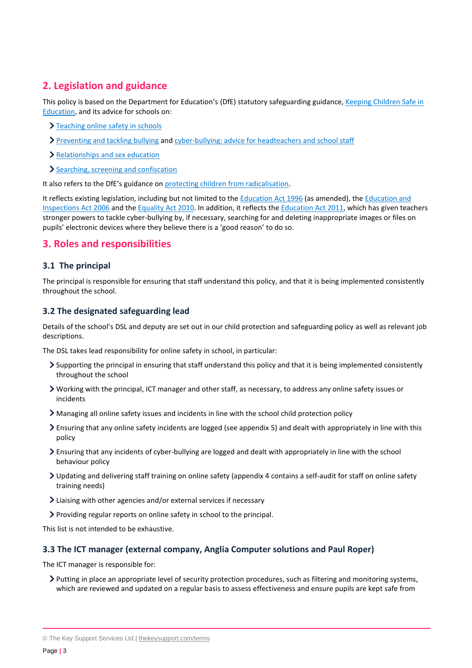# <span id="page-2-0"></span>**2. Legislation and guidance**

This policy is based on the Department for Education's (DfE) statutory safeguarding guidance[, Keeping Children Safe in](https://www.gov.uk/government/publications/keeping-children-safe-in-education--2)  [Education,](https://www.gov.uk/government/publications/keeping-children-safe-in-education--2) and its advice for schools on:

- > [Teaching online safety in schools](https://www.gov.uk/government/publications/teaching-online-safety-in-schools)
- [Preventing and tackling bullying](https://www.gov.uk/government/publications/preventing-and-tackling-bullying) and [cyber-bullying: advice for headteachers and school staff](https://www.gov.uk/government/publications/preventing-and-tackling-bullying)
- > [Relationships and sex education](https://www.gov.uk/government/publications/relationships-education-relationships-and-sex-education-rse-and-health-education)
- [Searching, screening and confiscation](https://www.gov.uk/government/publications/searching-screening-and-confiscation)

It also refers to the DfE's guidance on [protecting children from radicalisation.](https://www.gov.uk/government/publications/protecting-children-from-radicalisation-the-prevent-duty)

It reflects existing legislation, including but not limited to the [Education Act 1996](https://www.legislation.gov.uk/ukpga/1996/56/contents) (as amended), the [Education and](https://www.legislation.gov.uk/ukpga/2006/40/contents)  [Inspections Act 2006](https://www.legislation.gov.uk/ukpga/2006/40/contents) and the [Equality Act 2010.](https://www.legislation.gov.uk/ukpga/2010/15/contents) In addition, it reflects th[e Education Act 2011,](http://www.legislation.gov.uk/ukpga/2011/21/contents/enacted) which has given teachers stronger powers to tackle cyber-bullying by, if necessary, searching for and deleting inappropriate images or files on pupils' electronic devices where they believe there is a 'good reason' to do so.

# <span id="page-2-1"></span>**3. Roles and responsibilities**

#### **3.1 The principal**

The principal is responsible for ensuring that staff understand this policy, and that it is being implemented consistently throughout the school.

#### **3.2 The designated safeguarding lead**

Details of the school's DSL and deputy are set out in our child protection and safeguarding policy as well as relevant job descriptions.

The DSL takes lead responsibility for online safety in school, in particular:

- $\sum$  Supporting the principal in ensuring that staff understand this policy and that it is being implemented consistently throughout the school
- Working with the principal, ICT manager and other staff, as necessary, to address any online safety issues or incidents
- Managing all online safety issues and incidents in line with the school child protection policy
- Ensuring that any online safety incidents are logged (see appendix 5) and dealt with appropriately in line with this policy
- Ensuring that any incidents of cyber-bullying are logged and dealt with appropriately in line with the school behaviour policy
- Updating and delivering staff training on online safety (appendix 4 contains a self-audit for staff on online safety training needs)
- Liaising with other agencies and/or external services if necessary
- Providing regular reports on online safety in school to the principal.

This list is not intended to be exhaustive.

#### **3.3 The ICT manager (external company, Anglia Computer solutions and Paul Roper)**

The ICT manager is responsible for:

Putting in place an appropriate level of security protection procedures, such as filtering and monitoring systems, which are reviewed and updated on a regular basis to assess effectiveness and ensure pupils are kept safe from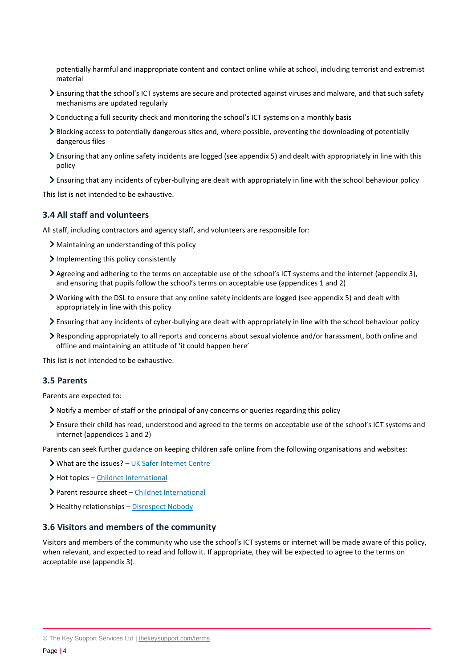potentially harmful and inappropriate content and contact online while at school, including terrorist and extremist material

- Ensuring that the school's ICT systems are secure and protected against viruses and malware, and that such safety mechanisms are updated regularly
- Conducting a full security check and monitoring the school's ICT systems on a monthly basis
- Blocking access to potentially dangerous sites and, where possible, preventing the downloading of potentially dangerous files
- Ensuring that any online safety incidents are logged (see appendix 5) and dealt with appropriately in line with this policy
- Ensuring that any incidents of cyber-bullying are dealt with appropriately in line with the school behaviour policy

This list is not intended to be exhaustive.

#### **3.4 All staff and volunteers**

All staff, including contractors and agency staff, and volunteers are responsible for:

- Maintaining an understanding of this policy
- > Implementing this policy consistently
- Agreeing and adhering to the terms on acceptable use of the school's ICT systems and the internet (appendix 3), and ensuring that pupils follow the school's terms on acceptable use (appendices 1 and 2)
- Working with the DSL to ensure that any online safety incidents are logged (see appendix 5) and dealt with appropriately in line with this policy
- Ensuring that any incidents of cyber-bullying are dealt with appropriately in line with the school behaviour policy
- Responding appropriately to all reports and concerns about sexual violence and/or harassment, both online and offline and maintaining an attitude of 'it could happen here'

This list is not intended to be exhaustive.

#### **3.5 Parents**

Parents are expected to:

- Notify a member of staff or the principal of any concerns or queries regarding this policy
- Ensure their child has read, understood and agreed to the terms on acceptable use of the school's ICT systems and internet (appendices 1 and 2)

Parents can seek further guidance on keeping children safe online from the following organisations and websites:

- What are the issues? [UK Safer Internet Centre](https://www.saferinternet.org.uk/advice-centre/parents-and-carers/what-are-issues)
- > Hot topics [Childnet International](http://www.childnet.com/parents-and-carers/hot-topics)
- Parent resource sheet [Childnet International](https://www.childnet.com/resources/parents-and-carers-resource-sheet)
- > Healthy relationships [Disrespect Nobody](https://www.disrespectnobody.co.uk/)

#### **3.6 Visitors and members of the community**

Visitors and members of the community who use the school's ICT systems or internet will be made aware of this policy, when relevant, and expected to read and follow it. If appropriate, they will be expected to agree to the terms on acceptable use (appendix 3).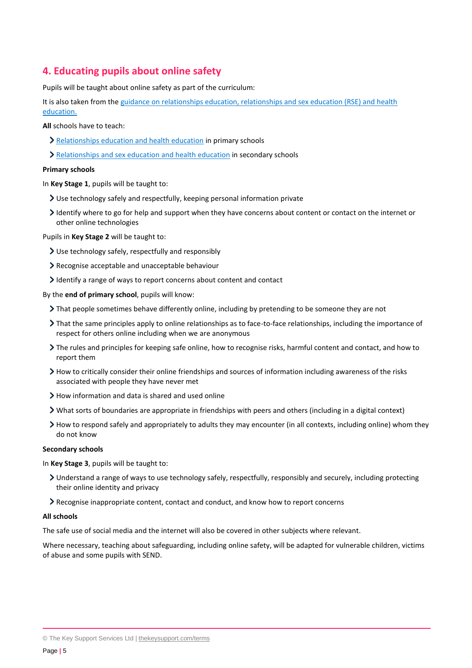# <span id="page-4-0"></span>**4. Educating pupils about online safety**

Pupils will be taught about online safety as part of the curriculum:

It is also taken from the [guidance on relationships education, relationships and sex education \(RSE\) and health](https://www.gov.uk/government/publications/relationships-education-relationships-and-sex-education-rse-and-health-education)  [education.](https://www.gov.uk/government/publications/relationships-education-relationships-and-sex-education-rse-and-health-education)

**All** schools have to teach:

- [Relationships education and health education](https://schoolleaders.thekeysupport.com/uid/8b76f587-7bf6-4994-abf0-43850c6e8d73/) in primary schools
- > [Relationships and sex education and health education](https://schoolleaders.thekeysupport.com/uid/66a1d83e-2fb9-411e-91f1-fe52a09d16d1/) in secondary schools

#### **Primary schools**

In **Key Stage 1**, pupils will be taught to:

- Use technology safely and respectfully, keeping personal information private
- Identify where to go for help and support when they have concerns about content or contact on the internet or other online technologies

Pupils in **Key Stage 2** will be taught to:

- Use technology safely, respectfully and responsibly
- Recognise acceptable and unacceptable behaviour
- Identify a range of ways to report concerns about content and contact

By the **end of primary school**, pupils will know:

- That people sometimes behave differently online, including by pretending to be someone they are not
- That the same principles apply to online relationships as to face-to-face relationships, including the importance of respect for others online including when we are anonymous
- The rules and principles for keeping safe online, how to recognise risks, harmful content and contact, and how to report them
- $\triangleright$  How to critically consider their online friendships and sources of information including awareness of the risks associated with people they have never met
- $\geq$  How information and data is shared and used online
- What sorts of boundaries are appropriate in friendships with peers and others (including in a digital context)
- How to respond safely and appropriately to adults they may encounter (in all contexts, including online) whom they do not know

#### **Secondary schools**

In **Key Stage 3**, pupils will be taught to:

- Understand a range of ways to use technology safely, respectfully, responsibly and securely, including protecting their online identity and privacy
- Recognise inappropriate content, contact and conduct, and know how to report concerns

#### **All schools**

The safe use of social media and the internet will also be covered in other subjects where relevant.

Where necessary, teaching about safeguarding, including online safety, will be adapted for vulnerable children, victims of abuse and some pupils with SEND.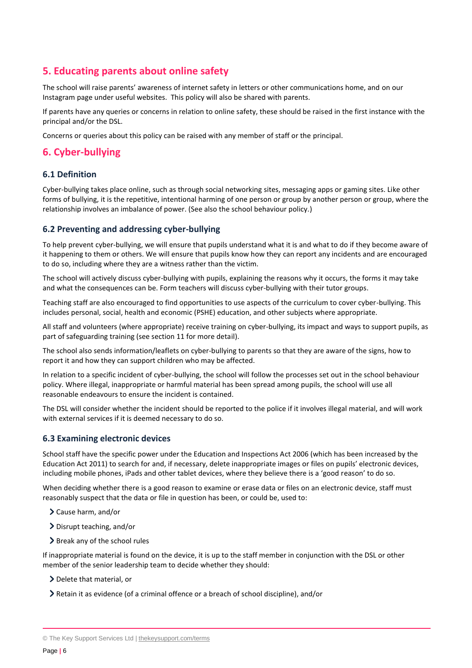# <span id="page-5-0"></span>**5. Educating parents about online safety**

The school will raise parents' awareness of internet safety in letters or other communications home, and on our Instagram page under useful websites. This policy will also be shared with parents.

If parents have any queries or concerns in relation to online safety, these should be raised in the first instance with the principal and/or the DSL.

Concerns or queries about this policy can be raised with any member of staff or the principal.

# <span id="page-5-1"></span>**6. Cyber-bullying**

## **6.1 Definition**

Cyber-bullying takes place online, such as through social networking sites, messaging apps or gaming sites. Like other forms of bullying, it is the repetitive, intentional harming of one person or group by another person or group, where the relationship involves an imbalance of power. (See also the school behaviour policy.)

## **6.2 Preventing and addressing cyber-bullying**

To help prevent cyber-bullying, we will ensure that pupils understand what it is and what to do if they become aware of it happening to them or others. We will ensure that pupils know how they can report any incidents and are encouraged to do so, including where they are a witness rather than the victim.

The school will actively discuss cyber-bullying with pupils, explaining the reasons why it occurs, the forms it may take and what the consequences can be. Form teachers will discuss cyber-bullying with their tutor groups.

Teaching staff are also encouraged to find opportunities to use aspects of the curriculum to cover cyber-bullying. This includes personal, social, health and economic (PSHE) education, and other subjects where appropriate.

All staff and volunteers (where appropriate) receive training on cyber-bullying, its impact and ways to support pupils, as part of safeguarding training (see section 11 for more detail).

The school also sends information/leaflets on cyber-bullying to parents so that they are aware of the signs, how to report it and how they can support children who may be affected.

In relation to a specific incident of cyber-bullying, the school will follow the processes set out in the school behaviour policy. Where illegal, inappropriate or harmful material has been spread among pupils, the school will use all reasonable endeavours to ensure the incident is contained.

The DSL will consider whether the incident should be reported to the police if it involves illegal material, and will work with external services if it is deemed necessary to do so.

## **6.3 Examining electronic devices**

School staff have the specific power under the Education and Inspections Act 2006 (which has been increased by the Education Act 2011) to search for and, if necessary, delete inappropriate images or files on pupils' electronic devices, including mobile phones, iPads and other tablet devices, where they believe there is a 'good reason' to do so.

When deciding whether there is a good reason to examine or erase data or files on an electronic device, staff must reasonably suspect that the data or file in question has been, or could be, used to:

- Cause harm, and/or
- Disrupt teaching, and/or
- $\geq$  Break any of the school rules

If inappropriate material is found on the device, it is up to the staff member in conjunction with the DSL or other member of the senior leadership team to decide whether they should:

- > Delete that material, or
- Retain it as evidence (of a criminal offence or a breach of school discipline), and/or

<sup>©</sup> The Key Support Services Ltd | [thekeysupport.com/terms](https://thekeysupport.com/terms-of-use)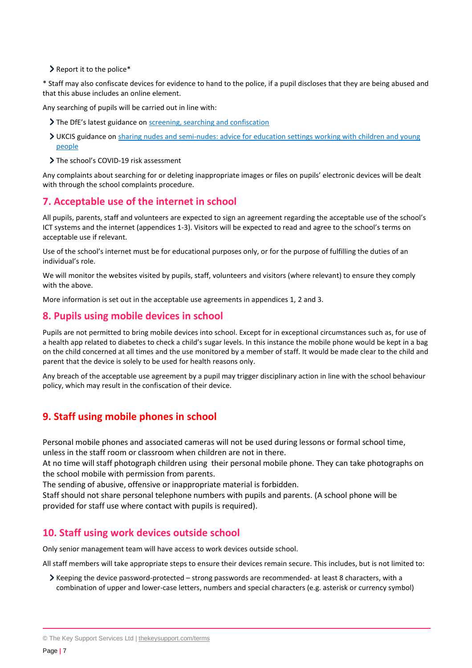> Report it to the police\*

\* Staff may also confiscate devices for evidence to hand to the police, if a pupil discloses that they are being abused and that this abuse includes an online element.

Any searching of pupils will be carried out in line with:

- The DfE's latest guidance on [screening, searching and confiscation](https://www.gov.uk/government/publications/searching-screening-and-confiscation)
- UKCIS guidance on [sharing nudes and semi-nudes: advice for education settings working with children and young](https://www.gov.uk/government/publications/sharing-nudes-and-semi-nudes-advice-for-education-settings-working-with-children-and-young-people)  [people](https://www.gov.uk/government/publications/sharing-nudes-and-semi-nudes-advice-for-education-settings-working-with-children-and-young-people)
- > The school's COVID-19 risk assessment

Any complaints about searching for or deleting inappropriate images or files on pupils' electronic devices will be dealt with through the school complaints procedure.

## <span id="page-6-0"></span>**7. Acceptable use of the internet in school**

All pupils, parents, staff and volunteers are expected to sign an agreement regarding the acceptable use of the school's ICT systems and the internet (appendices 1-3). Visitors will be expected to read and agree to the school's terms on acceptable use if relevant.

Use of the school's internet must be for educational purposes only, or for the purpose of fulfilling the duties of an individual's role.

We will monitor the websites visited by pupils, staff, volunteers and visitors (where relevant) to ensure they comply with the above.

More information is set out in the acceptable use agreements in appendices 1, 2 and 3.

## <span id="page-6-1"></span>**8. Pupils using mobile devices in school**

Pupils are not permitted to bring mobile devices into school. Except for in exceptional circumstances such as, for use of a health app related to diabetes to check a child's sugar levels. In this instance the mobile phone would be kept in a bag on the child concerned at all times and the use monitored by a member of staff. It would be made clear to the child and parent that the device is solely to be used for health reasons only.

Any breach of the acceptable use agreement by a pupil may trigger disciplinary action in line with the school behaviour policy, which may result in the confiscation of their device.

# **9. Staff using mobile phones in school**

Personal mobile phones and associated cameras will not be used during lessons or formal school time, unless in the staff room or classroom when children are not in there.

At no time will staff photograph children using their personal mobile phone. They can take photographs on the school mobile with permission from parents.

The sending of abusive, offensive or inappropriate material is forbidden.

Staff should not share personal telephone numbers with pupils and parents. (A school phone will be provided for staff use where contact with pupils is required).

# <span id="page-6-2"></span>**10. Staff using work devices outside school**

Only senior management team will have access to work devices outside school.

All staff members will take appropriate steps to ensure their devices remain secure. This includes, but is not limited to:

Keeping the device password-protected – strong passwords are recommended- at least 8 characters, with a combination of upper and lower-case letters, numbers and special characters (e.g. asterisk or currency symbol)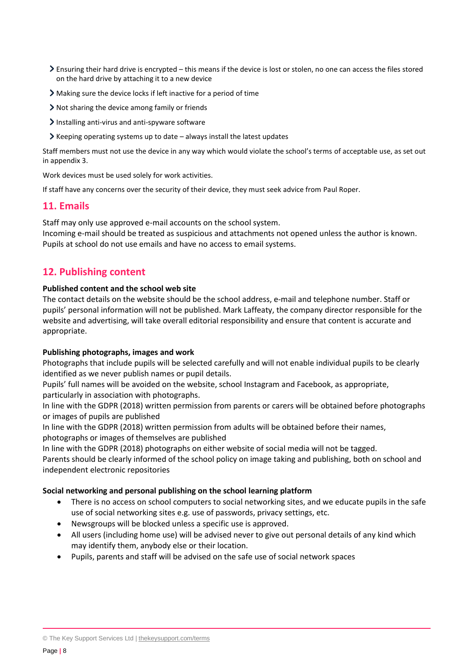- Ensuring their hard drive is encrypted this means if the device is lost or stolen, no one can access the files stored on the hard drive by attaching it to a new device
- Making sure the device locks if left inactive for a period of time
- Not sharing the device among family or friends
- $\sum$  Installing anti-virus and anti-spyware software
- $\blacktriangleright$  Keeping operating systems up to date always install the latest updates

Staff members must not use the device in any way which would violate the school's terms of acceptable use, as set out in appendix 3.

Work devices must be used solely for work activities.

If staff have any concerns over the security of their device, they must seek advice from Paul Roper.

## <span id="page-7-0"></span>**11. Emails**

Staff may only use approved e-mail accounts on the school system.

Incoming e-mail should be treated as suspicious and attachments not opened unless the author is known. Pupils at school do not use emails and have no access to email systems.

# **12. Publishing content**

#### **Published content and the school web site**

The contact details on the website should be the school address, e-mail and telephone number. Staff or pupils' personal information will not be published. Mark Laffeaty, the company director responsible for the website and advertising, will take overall editorial responsibility and ensure that content is accurate and appropriate.

#### **Publishing photographs, images and work**

Photographs that include pupils will be selected carefully and will not enable individual pupils to be clearly identified as we never publish names or pupil details.

Pupils' full names will be avoided on the website, school Instagram and Facebook, as appropriate, particularly in association with photographs.

In line with the GDPR (2018) written permission from parents or carers will be obtained before photographs or images of pupils are published

In line with the GDPR (2018) written permission from adults will be obtained before their names, photographs or images of themselves are published

In line with the GDPR (2018) photographs on either website of social media will not be tagged.

Parents should be clearly informed of the school policy on image taking and publishing, both on school and independent electronic repositories

#### **Social networking and personal publishing on the school learning platform**

- There is no access on school computers to social networking sites, and we educate pupils in the safe use of social networking sites e.g. use of passwords, privacy settings, etc.
- Newsgroups will be blocked unless a specific use is approved.
- All users (including home use) will be advised never to give out personal details of any kind which may identify them, anybody else or their location.
- Pupils, parents and staff will be advised on the safe use of social network spaces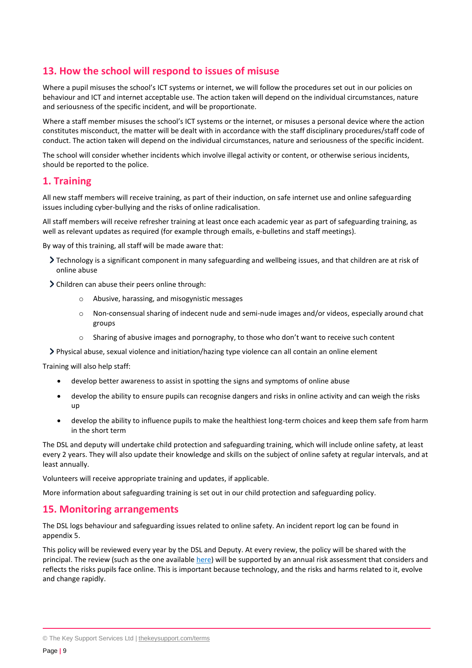# **13. How the school will respond to issues of misuse**

Where a pupil misuses the school's ICT systems or internet, we will follow the procedures set out in our policies on behaviour and ICT and internet acceptable use. The action taken will depend on the individual circumstances, nature and seriousness of the specific incident, and will be proportionate.

Where a staff member misuses the school's ICT systems or the internet, or misuses a personal device where the action constitutes misconduct, the matter will be dealt with in accordance with the staff disciplinary procedures/staff code of conduct. The action taken will depend on the individual circumstances, nature and seriousness of the specific incident.

The school will consider whether incidents which involve illegal activity or content, or otherwise serious incidents, should be reported to the police.

## <span id="page-8-0"></span>**1. Training**

All new staff members will receive training, as part of their induction, on safe internet use and online safeguarding issues including cyber-bullying and the risks of online radicalisation.

All staff members will receive refresher training at least once each academic year as part of safeguarding training, as well as relevant updates as required (for example through emails, e-bulletins and staff meetings).

By way of this training, all staff will be made aware that:

- Technology is a significant component in many safeguarding and wellbeing issues, and that children are at risk of online abuse
- Children can abuse their peers online through:
	- o Abusive, harassing, and misogynistic messages
	- o Non-consensual sharing of indecent nude and semi-nude images and/or videos, especially around chat groups
	- Sharing of abusive images and pornography, to those who don't want to receive such content
- Physical abuse, sexual violence and initiation/hazing type violence can all contain an online element

Training will also help staff:

- develop better awareness to assist in spotting the signs and symptoms of online abuse
- develop the ability to ensure pupils can recognise dangers and risks in online activity and can weigh the risks up
- develop the ability to influence pupils to make the healthiest long-term choices and keep them safe from harm in the short term

The DSL and deputy will undertake child protection and safeguarding training, which will include online safety, at least every 2 years. They will also update their knowledge and skills on the subject of online safety at regular intervals, and at least annually.

Volunteers will receive appropriate training and updates, if applicable.

More information about safeguarding training is set out in our child protection and safeguarding policy.

## <span id="page-8-1"></span>**15. Monitoring arrangements**

The DSL logs behaviour and safeguarding issues related to online safety. An incident report log can be found in appendix 5.

This policy will be reviewed every year by the DSL and Deputy. At every review, the policy will be shared with the principal. The review (such as the one availabl[e here\)](https://360safe.org.uk/) will be supported by an annual risk assessment that considers and reflects the risks pupils face online. This is important because technology, and the risks and harms related to it, evolve and change rapidly.

<sup>©</sup> The Key Support Services Ltd | [thekeysupport.com/terms](https://thekeysupport.com/terms-of-use)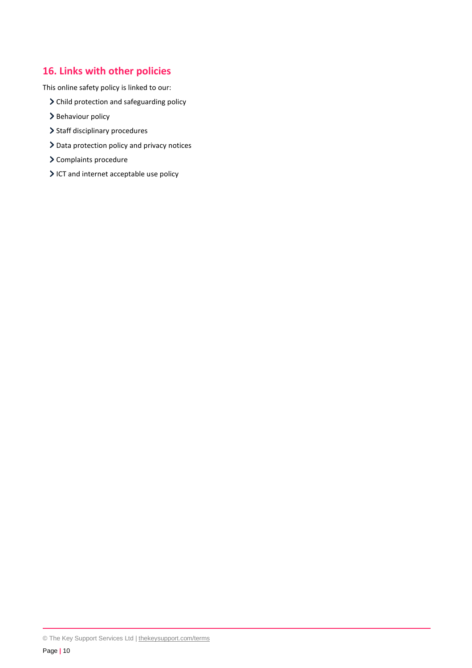# <span id="page-9-0"></span>**16. Links with other policies**

This online safety policy is linked to our:

- > Child protection and safeguarding policy
- > Behaviour policy
- > Staff disciplinary procedures
- > Data protection policy and privacy notices
- > Complaints procedure
- ICT and internet acceptable use policy

© The Key Support Services Ltd | [thekeysupport.com/terms](https://thekeysupport.com/terms-of-use)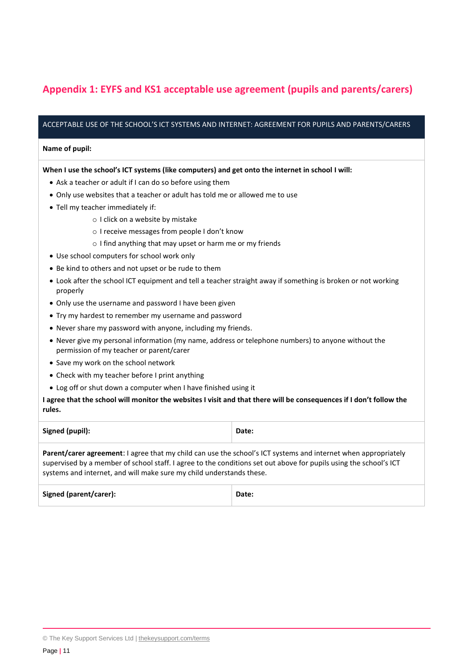# <span id="page-10-0"></span>**Appendix 1: EYFS and KS1 acceptable use agreement (pupils and parents/carers)**

#### ACCEPTABLE USE OF THE SCHOOL'S ICT SYSTEMS AND INTERNET: AGREEMENT FOR PUPILS AND PARENTS/CARERS

#### **Name of pupil:**

#### **When I use the school's ICT systems (like computers) and get onto the internet in school I will:**

- Ask a teacher or adult if I can do so before using them
- Only use websites that a teacher or adult has told me or allowed me to use
- Tell my teacher immediately if:
	- o I click on a website by mistake
	- o I receive messages from people I don't know
	- o I find anything that may upset or harm me or my friends
- Use school computers for school work only
- Be kind to others and not upset or be rude to them
- Look after the school ICT equipment and tell a teacher straight away if something is broken or not working properly
- Only use the username and password I have been given
- Try my hardest to remember my username and password
- Never share my password with anyone, including my friends.
- Never give my personal information (my name, address or telephone numbers) to anyone without the permission of my teacher or parent/carer
- Save my work on the school network
- Check with my teacher before I print anything
- Log off or shut down a computer when I have finished using it

#### **I agree that the school will monitor the websites I visit and that there will be consequences if I don't follow the rules.**

| Signed (pupil):                                                                                                                                                                                                                                                                                                    | Date: |  |
|--------------------------------------------------------------------------------------------------------------------------------------------------------------------------------------------------------------------------------------------------------------------------------------------------------------------|-------|--|
| <b>Parent/carer agreement:</b> I agree that my child can use the school's ICT systems and internet when appropriately<br>supervised by a member of school staff. I agree to the conditions set out above for pupils using the school's ICT<br>systems and internet, and will make sure my child understands these. |       |  |
| Signed (parent/carer):                                                                                                                                                                                                                                                                                             | Date: |  |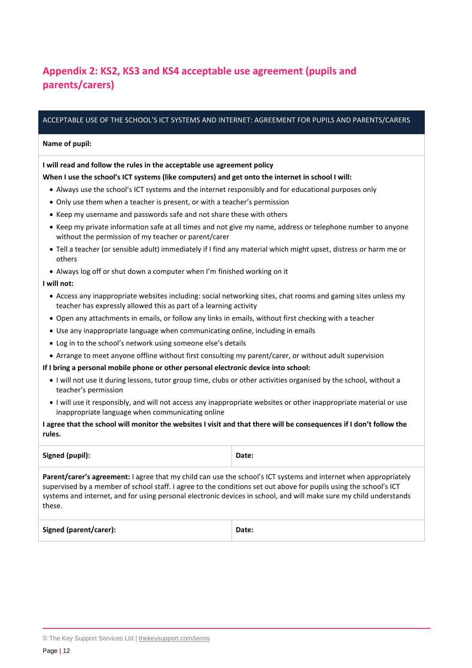# <span id="page-11-0"></span>**Appendix 2: KS2, KS3 and KS4 acceptable use agreement (pupils and parents/carers)**

#### ACCEPTABLE USE OF THE SCHOOL'S ICT SYSTEMS AND INTERNET: AGREEMENT FOR PUPILS AND PARENTS/CARERS

#### **Name of pupil:**

#### **I will read and follow the rules in the acceptable use agreement policy**

#### **When I use the school's ICT systems (like computers) and get onto the internet in school I will:**

- Always use the school's ICT systems and the internet responsibly and for educational purposes only
- Only use them when a teacher is present, or with a teacher's permission
- Keep my username and passwords safe and not share these with others
- Keep my private information safe at all times and not give my name, address or telephone number to anyone without the permission of my teacher or parent/carer
- Tell a teacher (or sensible adult) immediately if I find any material which might upset, distress or harm me or others
- Always log off or shut down a computer when I'm finished working on it

#### **I will not:**

- Access any inappropriate websites including: social networking sites, chat rooms and gaming sites unless my teacher has expressly allowed this as part of a learning activity
- Open any attachments in emails, or follow any links in emails, without first checking with a teacher
- Use any inappropriate language when communicating online, including in emails
- Log in to the school's network using someone else's details
- Arrange to meet anyone offline without first consulting my parent/carer, or without adult supervision

#### **If I bring a personal mobile phone or other personal electronic device into school:**

- I will not use it during lessons, tutor group time, clubs or other activities organised by the school, without a teacher's permission
- I will use it responsibly, and will not access any inappropriate websites or other inappropriate material or use inappropriate language when communicating online

#### **I agree that the school will monitor the websites I visit and that there will be consequences if I don't follow the rules.**

| Signed (pupil):                                                                                                                                                                                                                                                                                                                                                             | Date: |
|-----------------------------------------------------------------------------------------------------------------------------------------------------------------------------------------------------------------------------------------------------------------------------------------------------------------------------------------------------------------------------|-------|
| <b>Parent/carer's agreement:</b> Lagree that my child can use the school's ICT systems and internet when appropriately<br>supervised by a member of school staff. I agree to the conditions set out above for pupils using the school's ICT<br>systems and internet, and for using personal electronic devices in school, and will make sure my child understands<br>these. |       |
|                                                                                                                                                                                                                                                                                                                                                                             |       |

| <b>Signed (parent/carer):</b> | Date: |
|-------------------------------|-------|
|                               |       |

<sup>©</sup> The Key Support Services Ltd | [thekeysupport.com/terms](https://thekeysupport.com/terms-of-use)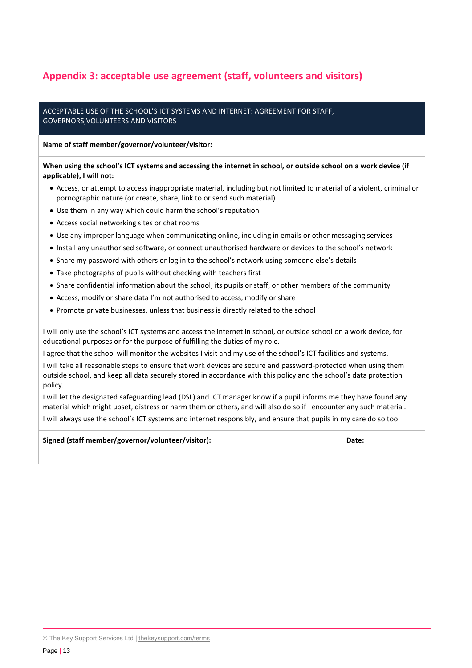# <span id="page-12-0"></span>**Appendix 3: acceptable use agreement (staff, volunteers and visitors)**

#### ACCEPTABLE USE OF THE SCHOOL'S ICT SYSTEMS AND INTERNET: AGREEMENT FOR STAFF, GOVERNORS,VOLUNTEERS AND VISITORS

**Name of staff member/governor/volunteer/visitor:**

**When using the school's ICT systems and accessing the internet in school, or outside school on a work device (if applicable), I will not:**

- Access, or attempt to access inappropriate material, including but not limited to material of a violent, criminal or pornographic nature (or create, share, link to or send such material)
- Use them in any way which could harm the school's reputation
- Access social networking sites or chat rooms
- Use any improper language when communicating online, including in emails or other messaging services
- Install any unauthorised software, or connect unauthorised hardware or devices to the school's network
- Share my password with others or log in to the school's network using someone else's details
- Take photographs of pupils without checking with teachers first
- Share confidential information about the school, its pupils or staff, or other members of the community
- Access, modify or share data I'm not authorised to access, modify or share
- Promote private businesses, unless that business is directly related to the school

I will only use the school's ICT systems and access the internet in school, or outside school on a work device, for educational purposes or for the purpose of fulfilling the duties of my role.

I agree that the school will monitor the websites I visit and my use of the school's ICT facilities and systems.

I will take all reasonable steps to ensure that work devices are secure and password-protected when using them outside school, and keep all data securely stored in accordance with this policy and the school's data protection policy.

I will let the designated safeguarding lead (DSL) and ICT manager know if a pupil informs me they have found any material which might upset, distress or harm them or others, and will also do so if I encounter any such material. I will always use the school's ICT systems and internet responsibly, and ensure that pupils in my care do so too.

| Signed (staff member/governor/volunteer/visitor): | Date: |
|---------------------------------------------------|-------|
|                                                   |       |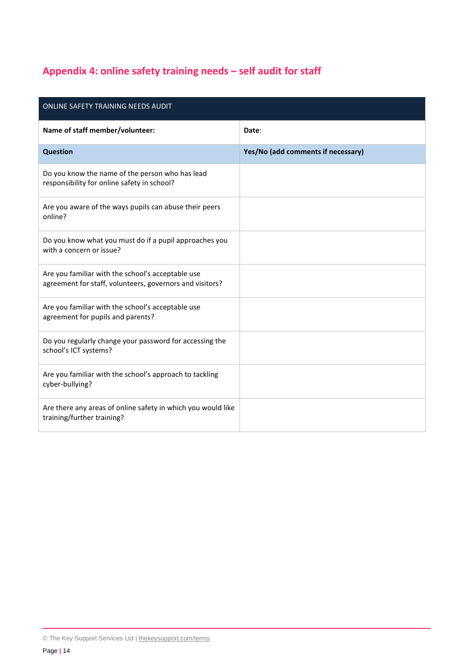# <span id="page-13-0"></span>**Appendix 4: online safety training needs – self audit for staff**

| ONLINE SAFETY TRAINING NEEDS AUDIT                                                                            |                                    |  |
|---------------------------------------------------------------------------------------------------------------|------------------------------------|--|
| Name of staff member/volunteer:                                                                               | Date:                              |  |
| <b>Question</b>                                                                                               | Yes/No (add comments if necessary) |  |
| Do you know the name of the person who has lead<br>responsibility for online safety in school?                |                                    |  |
| Are you aware of the ways pupils can abuse their peers<br>online?                                             |                                    |  |
| Do you know what you must do if a pupil approaches you<br>with a concern or issue?                            |                                    |  |
| Are you familiar with the school's acceptable use<br>agreement for staff, volunteers, governors and visitors? |                                    |  |
| Are you familiar with the school's acceptable use<br>agreement for pupils and parents?                        |                                    |  |
| Do you regularly change your password for accessing the<br>school's ICT systems?                              |                                    |  |
| Are you familiar with the school's approach to tackling<br>cyber-bullying?                                    |                                    |  |
| Are there any areas of online safety in which you would like<br>training/further training?                    |                                    |  |